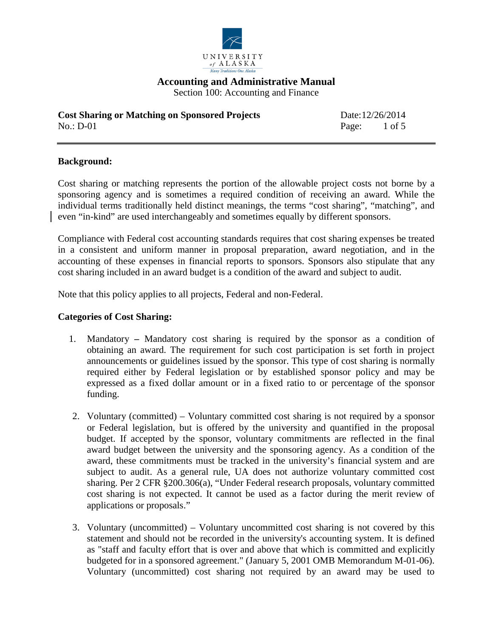

Section 100: Accounting and Finance

**Cost Sharing or Matching on Sponsored Projects** Date:12/26/2014 No.: D-01 Page: 1 of 5

#### **Background:**

Cost sharing or matching represents the portion of the allowable project costs not borne by a sponsoring agency and is sometimes a required condition of receiving an award. While the individual terms traditionally held distinct meanings, the terms "cost sharing", "matching", and even "in-kind" are used interchangeably and sometimes equally by different sponsors.

Compliance with Federal cost accounting standards requires that cost sharing expenses be treated in a consistent and uniform manner in proposal preparation, award negotiation, and in the accounting of these expenses in financial reports to sponsors. Sponsors also stipulate that any cost sharing included in an award budget is a condition of the award and subject to audit.

Note that this policy applies to all projects, Federal and non-Federal.

#### **Categories of Cost Sharing:**

- 1. Mandatory **–** Mandatory cost sharing is required by the sponsor as a condition of obtaining an award. The requirement for such cost participation is set forth in project announcements or guidelines issued by the sponsor. This type of cost sharing is normally required either by Federal legislation or by established sponsor policy and may be expressed as a fixed dollar amount or in a fixed ratio to or percentage of the sponsor funding.
- 2. Voluntary (committed) Voluntary committed cost sharing is not required by a sponsor or Federal legislation, but is offered by the university and quantified in the proposal budget. If accepted by the sponsor, voluntary commitments are reflected in the final award budget between the university and the sponsoring agency. As a condition of the award, these commitments must be tracked in the university's financial system and are subject to audit. As a general rule, UA does not authorize voluntary committed cost sharing. Per 2 CFR §200.306(a), "Under Federal research proposals, voluntary committed cost sharing is not expected. It cannot be used as a factor during the merit review of applications or proposals."
- 3. Voluntary (uncommitted) Voluntary uncommitted cost sharing is not covered by this statement and should not be recorded in the university's accounting system. It is defined as "staff and faculty effort that is over and above that which is committed and explicitly budgeted for in a sponsored agreement." (January 5, 2001 OMB Memorandum M-01-06). Voluntary (uncommitted) cost sharing not required by an award may be used to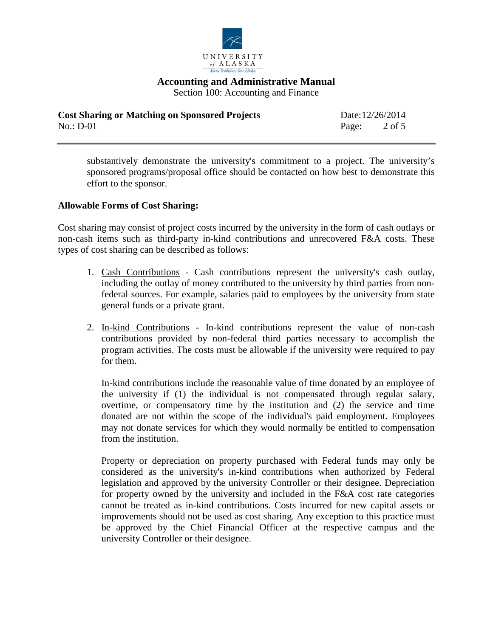

Section 100: Accounting and Finance

**Cost Sharing or Matching on Sponsored Projects** Date:12/26/2014 No.: D-01 **Page:** 2 of 5

substantively demonstrate the university's commitment to a project. The university's sponsored programs/proposal office should be contacted on how best to demonstrate this effort to the sponsor.

#### **Allowable Forms of Cost Sharing:**

Cost sharing may consist of project costs incurred by the university in the form of cash outlays or non-cash items such as third-party in-kind contributions and unrecovered F&A costs. These types of cost sharing can be described as follows:

- 1. Cash Contributions Cash contributions represent the university's cash outlay, including the outlay of money contributed to the university by third parties from nonfederal sources. For example, salaries paid to employees by the university from state general funds or a private grant.
- 2. In-kind Contributions In-kind contributions represent the value of non-cash contributions provided by non-federal third parties necessary to accomplish the program activities. The costs must be allowable if the university were required to pay for them.

In-kind contributions include the reasonable value of time donated by an employee of the university if (1) the individual is not compensated through regular salary, overtime, or compensatory time by the institution and (2) the service and time donated are not within the scope of the individual's paid employment. Employees may not donate services for which they would normally be entitled to compensation from the institution.

Property or depreciation on property purchased with Federal funds may only be considered as the university's in-kind contributions when authorized by Federal legislation and approved by the university Controller or their designee. Depreciation for property owned by the university and included in the F&A cost rate categories cannot be treated as in-kind contributions. Costs incurred for new capital assets or improvements should not be used as cost sharing. Any exception to this practice must be approved by the Chief Financial Officer at the respective campus and the university Controller or their designee.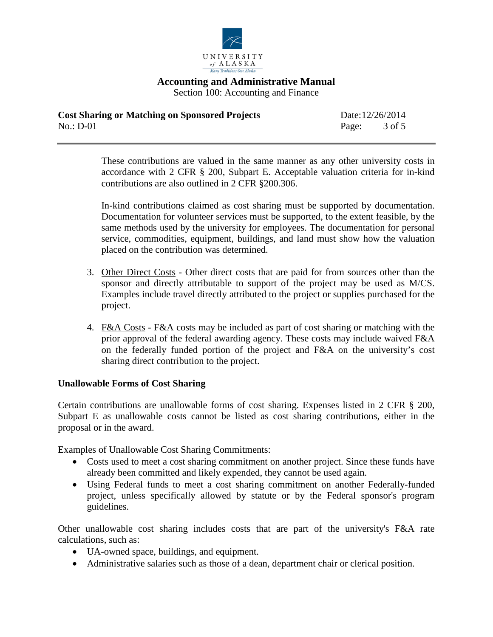

Section 100: Accounting and Finance

#### **Cost Sharing or Matching on Sponsored Projects** Date:12/26/2014 No.: D-01 **Page:** 3 of 5

These contributions are valued in the same manner as any other university costs in accordance with 2 CFR § 200, Subpart E. Acceptable valuation criteria for in-kind contributions are also outlined in 2 CFR §200.306.

In-kind contributions claimed as cost sharing must be supported by documentation. Documentation for volunteer services must be supported, to the extent feasible, by the same methods used by the university for employees. The documentation for personal service, commodities, equipment, buildings, and land must show how the valuation placed on the contribution was determined.

- 3. Other Direct Costs Other direct costs that are paid for from sources other than the sponsor and directly attributable to support of the project may be used as M/CS. Examples include travel directly attributed to the project or supplies purchased for the project.
- 4. F&A Costs F&A costs may be included as part of cost sharing or matching with the prior approval of the federal awarding agency. These costs may include waived F&A on the federally funded portion of the project and F&A on the university's cost sharing direct contribution to the project.

#### **Unallowable Forms of Cost Sharing**

Certain contributions are unallowable forms of cost sharing. Expenses listed in 2 CFR § 200, Subpart E as unallowable costs cannot be listed as cost sharing contributions, either in the proposal or in the award.

Examples of Unallowable Cost Sharing Commitments:

- Costs used to meet a cost sharing commitment on another project. Since these funds have already been committed and likely expended, they cannot be used again.
- Using Federal funds to meet a cost sharing commitment on another Federally-funded project, unless specifically allowed by statute or by the Federal sponsor's program guidelines.

Other unallowable cost sharing includes costs that are part of the university's F&A rate calculations, such as:

- UA-owned space, buildings, and equipment.
- Administrative salaries such as those of a dean, department chair or clerical position.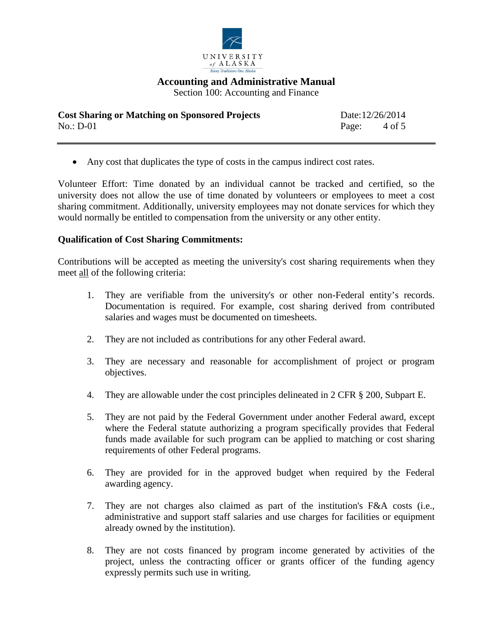

Section 100: Accounting and Finance

**Cost Sharing or Matching on Sponsored Projects** Date:12/26/2014 No.: D-01 **Page:** 4 of 5

• Any cost that duplicates the type of costs in the campus indirect cost rates.

Volunteer Effort: Time donated by an individual cannot be tracked and certified, so the university does not allow the use of time donated by volunteers or employees to meet a cost sharing commitment. Additionally, university employees may not donate services for which they would normally be entitled to compensation from the university or any other entity.

#### **Qualification of Cost Sharing Commitments:**

Contributions will be accepted as meeting the university's cost sharing requirements when they meet all of the following criteria:

- 1. They are verifiable from the university's or other non-Federal entity's records. Documentation is required. For example, cost sharing derived from contributed salaries and wages must be documented on timesheets.
- 2. They are not included as contributions for any other Federal award.
- 3. They are necessary and reasonable for accomplishment of project or program objectives.
- 4. They are allowable under the cost principles delineated in 2 CFR § 200, Subpart E.
- 5. They are not paid by the Federal Government under another Federal award, except where the Federal statute authorizing a program specifically provides that Federal funds made available for such program can be applied to matching or cost sharing requirements of other Federal programs.
- 6. They are provided for in the approved budget when required by the Federal awarding agency.
- 7. They are not charges also claimed as part of the institution's F&A costs (i.e., administrative and support staff salaries and use charges for facilities or equipment already owned by the institution).
- 8. They are not costs financed by program income generated by activities of the project, unless the contracting officer or grants officer of the funding agency expressly permits such use in writing.